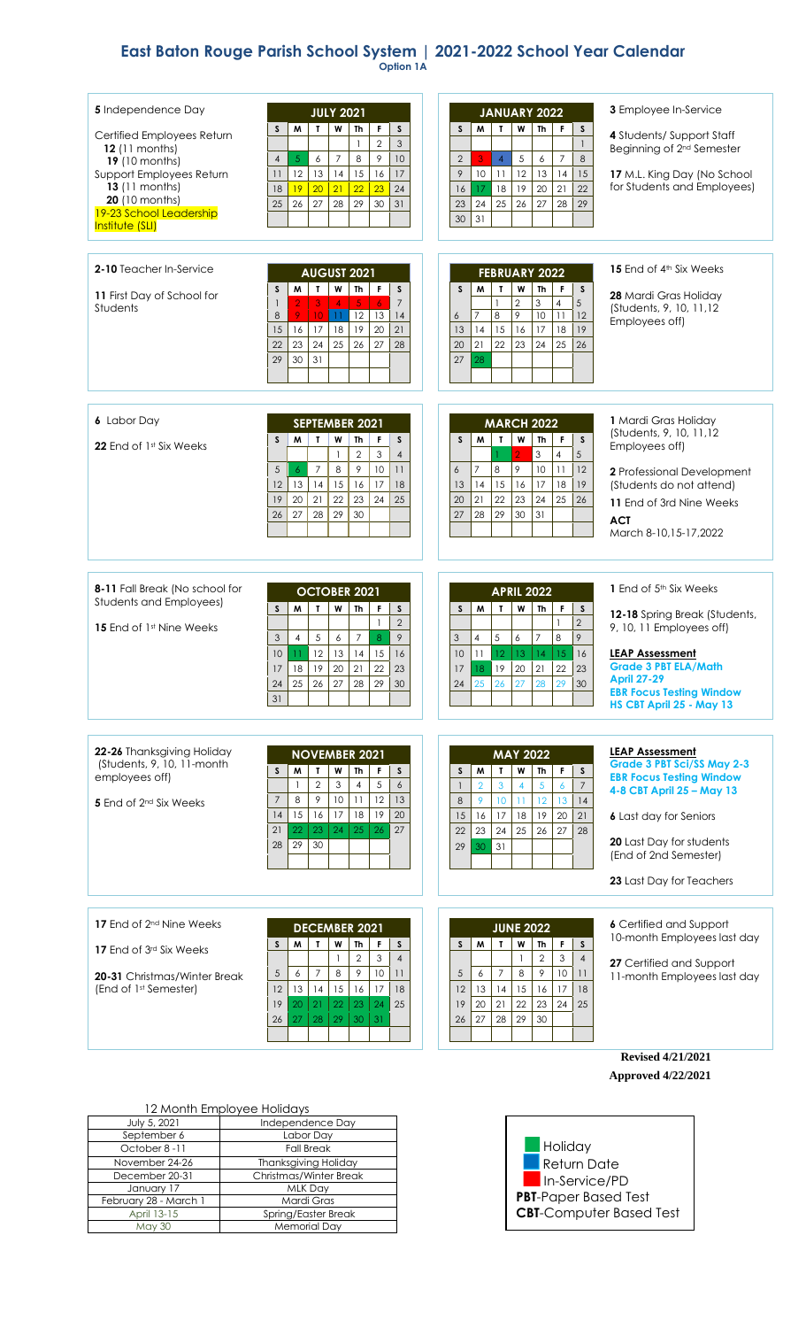## **East Baton Rouge Parish School System | 2021-2022 School Year Calendar Option 1A**

| 5 Independence Day<br>Certified Employees Return<br>12 (11 months)<br>19 (10 months)<br>Support Employees Return<br>13 (11 months)<br>20 (10 months)<br>19-23 School Leadership<br>Institute (SLI) | <b>JULY 2021</b><br>W<br>F<br>Th<br>S<br>S<br>M<br>L<br>$\overline{2}$<br>3<br>1<br>$\overline{9}$<br>$\overline{5}$<br>$\overline{7}$<br>8<br>10<br>$\overline{4}$<br>6<br>15<br>12<br>13<br>14<br>16<br>17<br>11<br>23<br>19<br>20<br>21<br>22<br>24<br>18<br>28<br>26<br>27<br>29<br>30<br>31<br>25                                 | <b>JANUARY 2022</b><br>W<br>T<br>Th<br>F<br>S<br>M<br>S<br>$\mathbf{1}$<br>$\overline{7}$<br>8<br>$\overline{2}$<br>3<br>$\sqrt{5}$<br>6<br>$\overline{A}$<br>9<br>10<br>12<br>11<br>13<br>14<br>15<br>21<br>18<br>19<br>20<br>22<br>17<br>16<br>24<br>25<br>26<br>23<br>27<br>28<br>29<br>31<br>30       | 3 Employee In-Service<br>4 Students/ Support Staff<br>Beginning of 2 <sup>nd</sup> Semester<br>17 M.L. King Day (No School<br>for Students and Employees)                                                                                            |
|----------------------------------------------------------------------------------------------------------------------------------------------------------------------------------------------------|----------------------------------------------------------------------------------------------------------------------------------------------------------------------------------------------------------------------------------------------------------------------------------------------------------------------------------------|-----------------------------------------------------------------------------------------------------------------------------------------------------------------------------------------------------------------------------------------------------------------------------------------------------------|------------------------------------------------------------------------------------------------------------------------------------------------------------------------------------------------------------------------------------------------------|
| <b>2-10</b> Teacher In-Service<br>11 First Day of School for<br>Students                                                                                                                           | <b>AUGUST 2021</b><br>w<br>F<br>M<br>$\mathbf{L}$<br>Th<br>$\mathsf{s}$<br>S<br>$\overline{7}$<br>$\overline{2}$<br>3 <sup>°</sup><br>5 <sub>1</sub><br>$\overline{4}$<br>6<br>8<br>9<br>12<br>13<br>14<br>10 <sup>°</sup><br>11<br>18<br>20<br>15<br>16<br>17<br>19<br>21<br>22<br>23<br>24<br>25<br>26<br>27<br>28<br>30<br>29<br>31 | <b>FEBRUARY 2022</b><br>M<br>T<br>W<br><sub>S</sub><br>Th<br>F<br>S<br>$\overline{c}$<br>3<br>4<br>5<br>$\mathbf{1}$<br>$\mathcal{P}$<br>11<br>$\overline{7}$<br>8<br>10<br>12<br>6<br>14<br>15<br>18<br>19<br>13<br>16<br>17<br>21<br>22<br>24<br>20<br>23<br>25<br>26<br>27<br>28                       | <b>15</b> End of 4 <sup>th</sup> Six Weeks<br>28 Mardi Gras Holiday<br>(Students, 9, 10, 11, 12<br>Employees off)                                                                                                                                    |
| <b>6</b> Labor Day<br><b>22</b> End of 1st Six Weeks                                                                                                                                               | SEPTEMBER 2021<br>$\mathsf{s}$<br>T.<br>W<br>F<br>W<br>Th<br>S<br>$\overline{2}$<br>3<br>$\overline{4}$<br>$\mathbf{1}$<br>$\overline{7}$<br>8<br>9<br>10<br>5<br>$\overline{6}$<br>11<br>12<br>13<br>15<br>17<br>18<br>14<br>16<br>20<br>21<br>22<br>23<br>19<br>24<br>25<br>27<br>28<br>29<br>30<br>26                               | <b>MARCH 2022</b><br>W<br>F<br>M<br>$\mathbf T$<br>$\mathsf{s}$<br><sub>S</sub><br>Th<br>ö<br>3<br>$\overline{4}$<br>5<br>9<br>$\overline{7}$<br>10<br>11<br>8<br>6<br>12<br> 4<br>15<br>18<br>19<br>13<br>16<br>17<br>21<br>22<br>23<br>24<br>20<br>25<br>26<br>28<br>29<br>$30\,$<br>31<br>27           | 1 Mardi Gras Holiday<br>(Students, 9, 10, 11, 12<br>Employees off)<br>2 Professional Development<br>(Students do not attend)<br>11 End of 3rd Nine Weeks<br><b>ACT</b><br>March 8-10, 15-17, 2022                                                    |
| 8-11 Fall Break (No school for<br>Students and Employees)<br><b>15</b> End of 1st Nine Weeks                                                                                                       | <b>OCTOBER 2021</b><br>M<br>T<br>W<br><b>Th</b><br>F<br>s<br>S<br>$\overline{2}$<br>$\mathbf{1}$<br>$\overline{4}$<br>5<br>$\,$ 8 $\,$<br>9<br>3<br>6<br>$\overline{7}$<br>12<br>13<br>15<br>10<br>14<br>16<br>11<br>20<br>21<br>22<br>23<br>18<br>19<br>17<br>25<br>24<br>26<br>27<br>28<br>29<br>30<br>31                            | <b>APRIL 2022</b><br>W<br>F.<br><sub>S</sub><br>M<br>T<br><b>Th</b><br>s<br>$\overline{2}$<br>$\mathbf{1}$<br>8<br>$\overline{4}$<br>5<br>$\overline{7}$<br>9<br>3<br>6<br>11<br>10<br>12<br>13<br>15<br>16<br>14<br>19<br>$20\,$<br>21<br>22<br>23<br>17<br>18<br>24<br>25<br>26<br>27<br>28<br>29<br>30 | 1 End of 5 <sup>th</sup> Six Weeks<br>12-18 Spring Break (Students,<br>9, 10, 11 Employees off)<br><b>LEAP Assessment</b><br><b>Grade 3 PBT ELA/Math</b><br><b>April 27-29</b><br><b>EBR Focus Testing Window</b><br>HS CBT April 25 - May 13        |
| 22-26 Thanksgiving Holiday<br>(Students, 9, 10, 11-month<br>employees off)<br>5 End of 2 <sup>nd</sup> Six Weeks                                                                                   | <b>NOVEMBER 2021</b><br>W<br>$\boldsymbol{\mathsf{S}}$<br>M<br>T<br>F<br>S<br>Th<br>$\overline{2}$<br>3<br>5<br>$\mathbf{1}$<br>$\overline{4}$<br>6<br>12<br>$\overline{7}$<br>8<br>9<br>10 <sup>°</sup><br>11<br>13<br>15<br>19<br>16<br>17<br>18<br>20<br>14<br>21<br>22<br>27<br>23<br>24<br>25<br>26<br>29<br>30<br>28             | <b>MAY 2022</b><br>W<br>F<br>M<br>Th<br>S<br>S<br>T<br>5<br>$\overline{2}$<br>3<br>$\boldsymbol{6}$<br>$\overline{7}$<br>$\mathbf{1}$<br>4<br>8<br>9<br>12<br>13<br>10<br>14<br>11<br>15<br>16<br>17<br>18<br>19<br>20<br>21<br>23<br>22<br>24<br>25<br>26<br>27<br>28<br>30<br>31<br>29                  | <b>LEAP Assessment</b><br><b>Grade 3 PBT Sci/SS May 2-3</b><br><b>EBR Focus Testing Window</b><br>4-8 CBT April 25 - May 13<br><b>6</b> Last day for Seniors<br><b>20</b> Last Day for students<br>(End of 2nd Semester)<br>23 Last Day for Teachers |
| <b>17</b> End of 2 <sup>nd</sup> Nine Weeks<br><b>17</b> End of 3 <sup>rd</sup> Six Weeks<br><b>20-31</b> Christmas/Winter Break<br>(End of 1st Semester)                                          | <b>DECEMBER 2021</b><br>T.<br>W<br>M<br>Th<br>F<br>S<br>S<br>$\mathbf{2}$<br>$\ensuremath{\mathsf{3}}$<br>$\overline{4}$<br>$\mathbf{1}$<br>8<br>9<br>5<br>10<br>6<br>7<br>11<br>15<br>12<br>13<br>16<br>17<br>18<br>14<br>19<br>20<br>21<br>22<br>23<br>25<br>24<br>27<br>29<br>30<br>28<br>31<br>26                                  | <b>JUNE 2022</b><br>W<br>F<br>S<br>S<br>W<br>T<br>Th<br>$\mathbf{2}$<br>3<br>$\overline{4}$<br>$\mathbf{1}$<br>5<br>$\overline{7}$<br>8<br>9<br>10<br>6<br>11<br>12<br>13<br>15<br>17<br>14<br>16<br>18<br>20<br>22<br>25<br>19<br>21<br>23<br>24<br>27<br>29<br>28<br>30<br>26                           | <b>6</b> Certified and Support<br>10-month Employees last day<br>27 Certified and Support<br>11-month Employees last day                                                                                                                             |
|                                                                                                                                                                                                    |                                                                                                                                                                                                                                                                                                                                        |                                                                                                                                                                                                                                                                                                           | <b>Revised 4/21/2021</b>                                                                                                                                                                                                                             |
|                                                                                                                                                                                                    |                                                                                                                                                                                                                                                                                                                                        |                                                                                                                                                                                                                                                                                                           | <b>Approved 4/22/2021</b>                                                                                                                                                                                                                            |
|                                                                                                                                                                                                    |                                                                                                                                                                                                                                                                                                                                        |                                                                                                                                                                                                                                                                                                           |                                                                                                                                                                                                                                                      |
| 12 Month Employee Holidays                                                                                                                                                                         |                                                                                                                                                                                                                                                                                                                                        |                                                                                                                                                                                                                                                                                                           |                                                                                                                                                                                                                                                      |

July 5, 2021 **Independence Day** September 6 Labor Day October 8 -11 Fall Break November 24-26 Thanksgiving Holiday December 20-31 Christmas/Winter Break January 17 MLK Day February 28 - March 1 Mardi Gras<br>April 13-15 Spring/Easter Br April 13-15 Spring/Easter Break<br>
May 30 Memorial Day Memorial Day

**H**oliday Return Date In-Service/PD **PBT**-Paper Based Test **CBT**-Computer Based Test